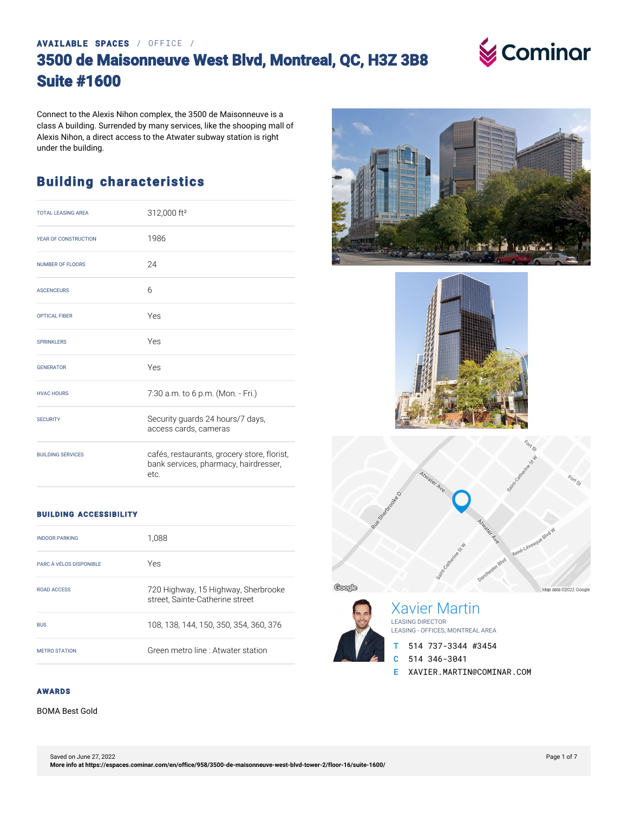#### **AVAILABLE SPACES** / OFFICE /

## **3500 de Maisonneuve West Blvd, Montreal, QC, H3Z 3B8 Suite #1600**



Connect to the Alexis Nihon complex, the 3500 de Maisonneuve is a class A building. Surrended by many services, like the shooping mall of Alexis Nihon, a direct access to the Atwater subway station is right under the building.

#### **Building characteristics**

| <b>TOTAL LEASING AREA</b> | 312,000 ft <sup>2</sup>                                                                      |
|---------------------------|----------------------------------------------------------------------------------------------|
| YEAR OF CONSTRUCTION      | 1986                                                                                         |
| <b>NUMBER OF FLOORS</b>   | 24                                                                                           |
| <b>ASCENCEURS</b>         | 6                                                                                            |
| <b>OPTICAL FIBER</b>      | Yes                                                                                          |
| <b>SPRINKLERS</b>         | Yes                                                                                          |
| <b>GENERATOR</b>          | Yes                                                                                          |
| <b>HVAC HOURS</b>         | 7:30 a.m. to 6 p.m. (Mon. - Fri.)                                                            |
| <b>SECURITY</b>           | Security guards 24 hours/7 days,<br>access cards, cameras                                    |
| <b>BUILDING SERVICES</b>  | cafés, restaurants, grocery store, florist,<br>bank services, pharmacy, hairdresser,<br>etc. |

#### **BUILDING ACCESSIBILITY**

| <b>INDOOR PARKING</b>   | 1,088                                                                  |
|-------------------------|------------------------------------------------------------------------|
| PARC À VÉLOS DISPONIBLE | Yes                                                                    |
| ROAD ACCESS             | 720 Highway, 15 Highway, Sherbrooke<br>street, Sainte-Catherine street |
| <b>BUS</b>              | 108, 138, 144, 150, 350, 354, 360, 376                                 |
| <b>MFTRO STATION</b>    | Green metro line : Atwater station                                     |



BOMA Best Gold









Xavier Martin LEASING DIRECTOR LEASING - OFFICES, MONTREAL AREA

**T** 514 737-3344 #3454

**C** 514 346-3041

**E** XAVIER.MARTIN@COMINAR.COM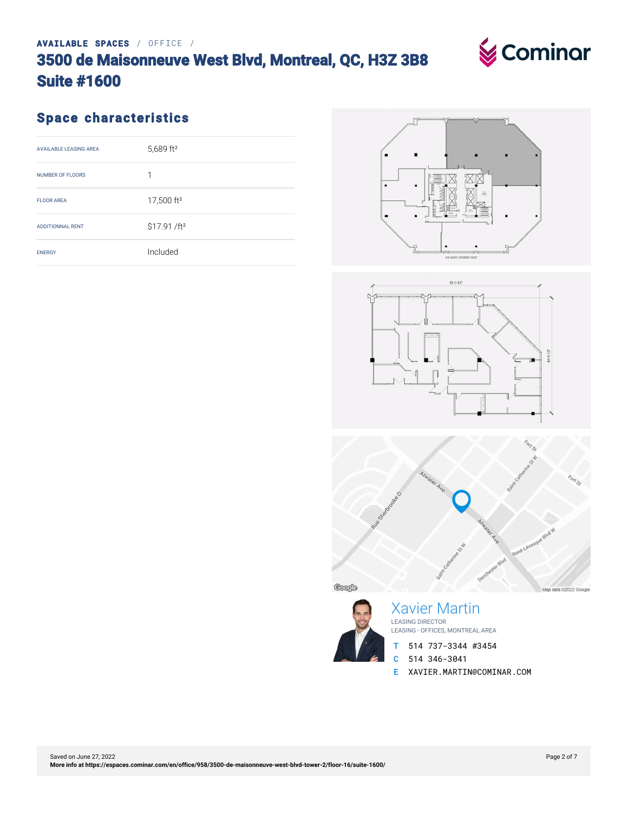#### Saved on June 27, 2022 **[More info at https://espaces.cominar.com/en/office/958/3500-de-maisonneuve-west-blvd-tower-2/floor-16/suite-1600/](https://espaces.cominar.com/en/office/958/3500-de-maisonneuve-west-blvd-tower-2/floor-16/suite-1600/)**

#### **AVAILABLE SPACES** / OFFICE /

#### **3500 de Maisonneuve West Blvd, Montreal, QC, H3Z 3B8 Suite #1600**

## **Space characteristics**

| <b>AVAILABLE LEASING AREA</b> | 5,689 ft <sup>2</sup>    |
|-------------------------------|--------------------------|
| <b>NUMBER OF FLOORS</b>       | 1                        |
| <b>FLOOR AREA</b>             | 17,500 ft <sup>2</sup>   |
| <b>ADDITIONNAL RENT</b>       | \$17.91 /ft <sup>2</sup> |
| <b>ENERGY</b>                 | Included                 |









Xavier Martin LEASING DIRECTOR LEASING - OFFICES, MONTREAL AREA

- **T** 514 737-3344 #3454
- **C** 514 346-3041
- **E** XAVIER.MARTIN@COMINAR.COM

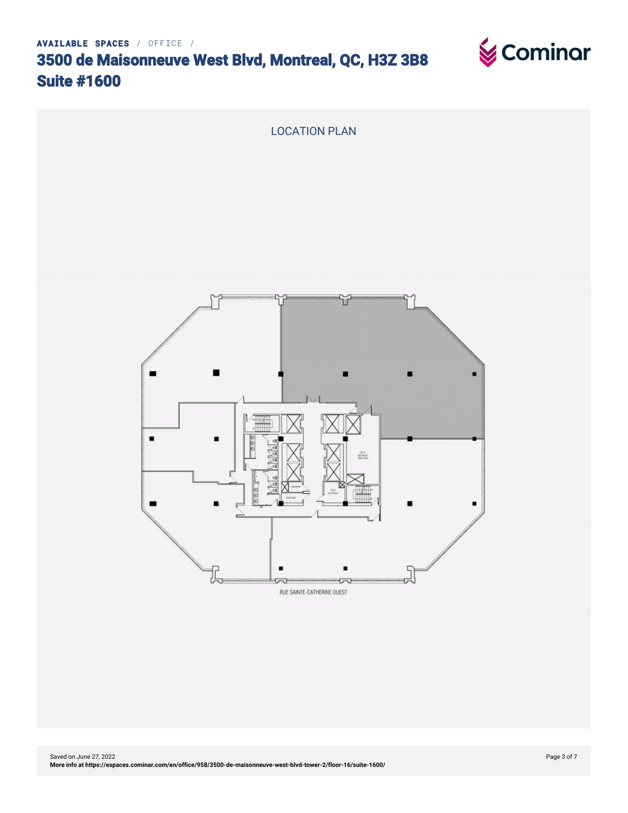

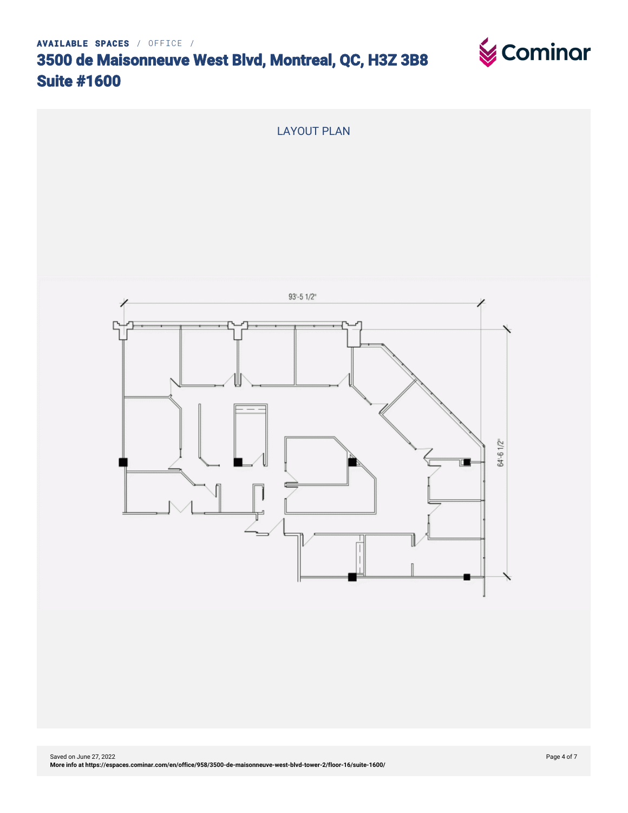

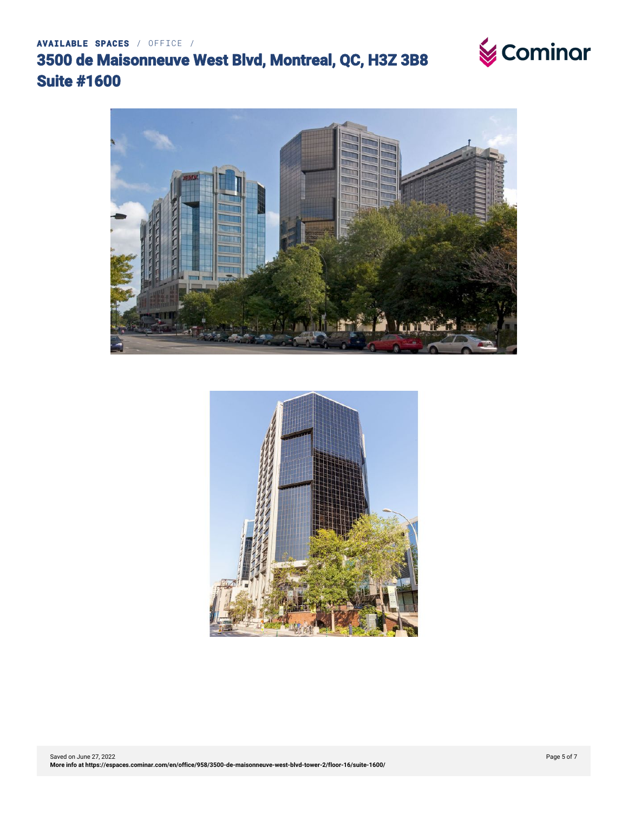



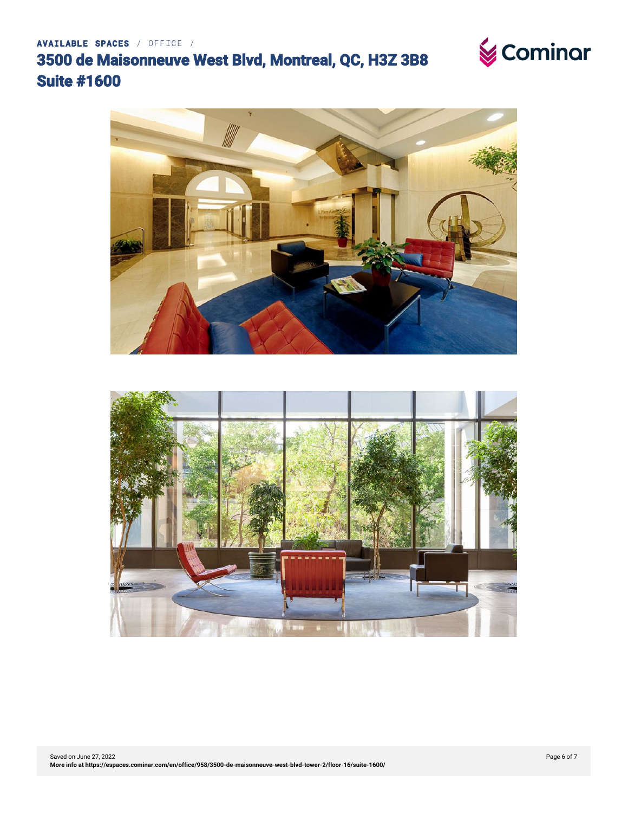